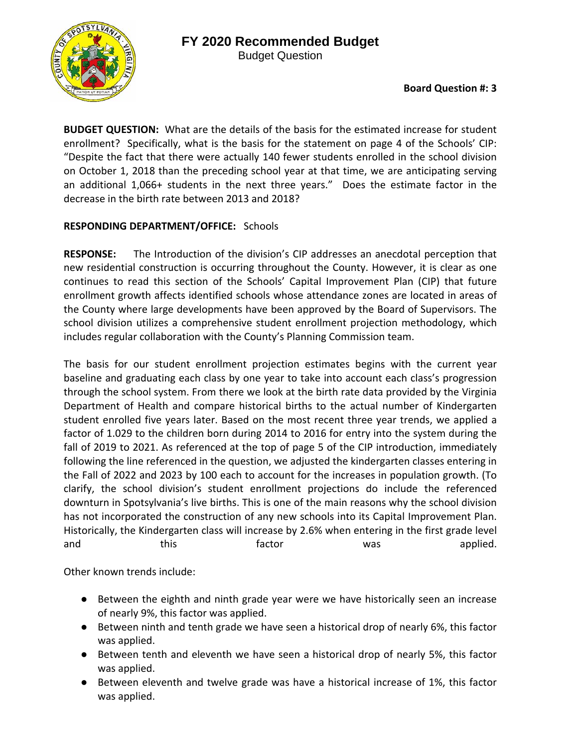**BUDGET QUESTION:** What are the details of the basis for the estimated increase for student enrollment? Specifically, what is the basis for the statement on page 4 of the Schools' CIP: "Despite the fact that there were actually 140 fewer students enrolled in the school division on October 1, 2018 than the preceding school year at that time, we are anticipating serving an additional 1,066+ students in the next three years." Does the estimate factor in the decrease in the birth rate between 2013 and 2018?

## **RESPONDING DEPARTMENT/OFFICE:** Schools

**RESPONSE:**  The Introduction of the division's CIP addresses an anecdotal perception that new residential construction is occurring throughout the County. However, it is clear as one continues to read this section of the Schools' Capital Improvement Plan (CIP) that future enrollment growth affects identified schools whose attendance zones are located in areas of the County where large developments have been approved by the Board of Supervisors. The school division utilizes a comprehensive student enrollment projection methodology, which includes regular collaboration with the County's Planning Commission team.

The basis for our student enrollment projection estimates begins with the current year baseline and graduating each class by one year to take into account each class's progression through the school system. From there we look at the birth rate data provided by the Virginia Department of Health and compare historical births to the actual number of Kindergarten student enrolled five years later. Based on the most recent three year trends, we applied a factor of 1.029 to the children born during 2014 to 2016 for entry into the system during the fall of 2019 to 2021. As referenced at the top of page 5 of the CIP introduction, immediately following the line referenced in the question, we adjusted the kindergarten classes entering in the Fall of 2022 and 2023 by 100 each to account for the increases in population growth. (To clarify, the school division's student enrollment projections do include the referenced downturn in Spotsylvania's live births. This is one of the main reasons why the school division has not incorporated the construction of any new schools into its Capital Improvement Plan. Historically, the Kindergarten class will increase by 2.6% when entering in the first grade level and this the factor was applied.

Other known trends include:

- Between the eighth and ninth grade year were we have historically seen an increase of nearly 9%, this factor was applied.
- Between ninth and tenth grade we have seen a historical drop of nearly 6%, this factor was applied.
- Between tenth and eleventh we have seen a historical drop of nearly 5%, this factor was applied.
- Between eleventh and twelve grade was have a historical increase of 1%, this factor was applied.